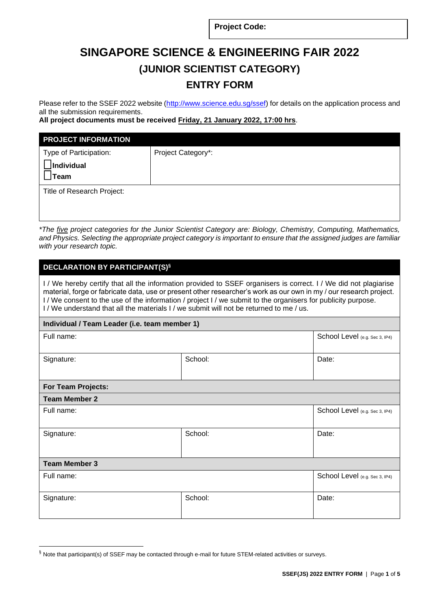**Project Code:**

# **SINGAPORE SCIENCE & ENGINEERING FAIR 2022 (JUNIOR SCIENTIST CATEGORY) ENTRY FORM**

Please refer to the SSEF 2022 website [\(http://www.science.edu.sg/ssef\)](http://www.science.edu.sg/ssef) for details on the application process and all the submission requirements.

**All project documents must be received Friday, 21 January 2022, 17:00 hrs**.

| <b>PROJECT INFORMATION</b> |                    |
|----------------------------|--------------------|
| Type of Participation:     | Project Category*: |
| Individual<br>Team         |                    |
| Title of Research Project: |                    |
|                            |                    |

*\*The five project categories for the Junior Scientist Category are: Biology, Chemistry, Computing, Mathematics, and Physics. Selecting the appropriate project category is important to ensure that the assigned judges are familiar with your research topic.* 

# **DECLARATION BY PARTICIPANT(S)§**

I / We hereby certify that all the information provided to SSEF organisers is correct. I / We did not plagiarise material, forge or fabricate data, use or present other researcher's work as our own in my / our research project. I / We consent to the use of the information / project I / we submit to the organisers for publicity purpose. I / We understand that all the materials I / we submit will not be returned to me / us.

## **Individual / Team Leader (i.e. team member 1)**

|                      | School Level (e.g. Sec 3, IP4) |  |  |
|----------------------|--------------------------------|--|--|
| School:              | Date:                          |  |  |
| For Team Projects:   |                                |  |  |
|                      |                                |  |  |
|                      | School Level (e.g. Sec 3, IP4) |  |  |
| School:              | Date:                          |  |  |
| <b>Team Member 3</b> |                                |  |  |
|                      | School Level (e.g. Sec 3, IP4) |  |  |
| School:              | Date:                          |  |  |
|                      |                                |  |  |

<sup>§</sup> Note that participant(s) of SSEF may be contacted through e-mail for future STEM-related activities or surveys.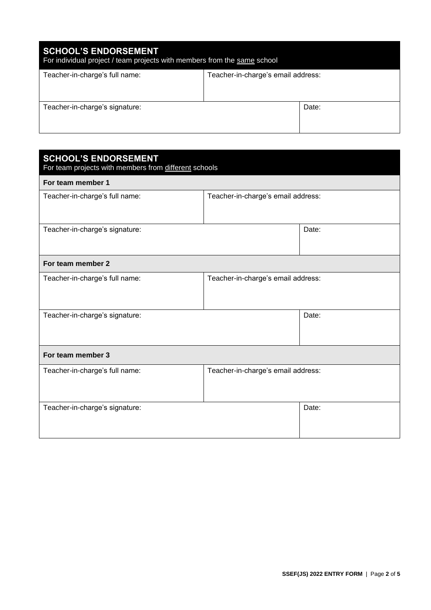| <b>SCHOOL'S ENDORSEMENT</b><br>For individual project / team projects with members from the same school |                                    |       |  |  |
|---------------------------------------------------------------------------------------------------------|------------------------------------|-------|--|--|
| Teacher-in-charge's full name:                                                                          | Teacher-in-charge's email address: |       |  |  |
| Teacher-in-charge's signature:                                                                          |                                    | Date: |  |  |

| <b>SCHOOL'S ENDORSEMENT</b><br>For team projects with members from different schools |                                    |       |  |  |
|--------------------------------------------------------------------------------------|------------------------------------|-------|--|--|
| For team member 1                                                                    |                                    |       |  |  |
| Teacher-in-charge's full name:                                                       | Teacher-in-charge's email address: |       |  |  |
| Teacher-in-charge's signature:                                                       |                                    | Date: |  |  |
| For team member 2                                                                    |                                    |       |  |  |
| Teacher-in-charge's full name:                                                       | Teacher-in-charge's email address: |       |  |  |
| Teacher-in-charge's signature:                                                       |                                    | Date: |  |  |
| For team member 3                                                                    |                                    |       |  |  |
| Teacher-in-charge's full name:                                                       | Teacher-in-charge's email address: |       |  |  |
| Teacher-in-charge's signature:                                                       |                                    | Date: |  |  |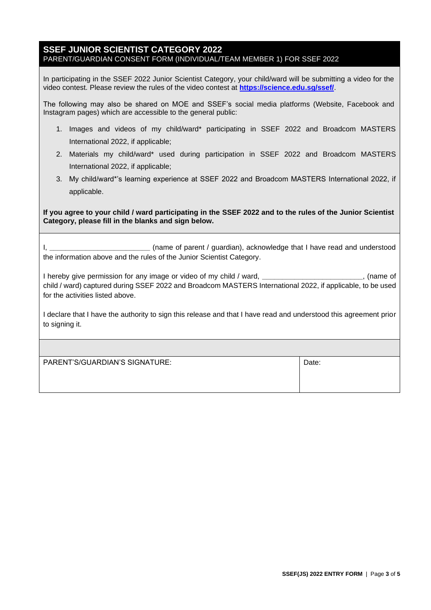## **SSEF JUNIOR SCIENTIST CATEGORY 2022** PARENT/GUARDIAN CONSENT FORM (INDIVIDUAL/TEAM MEMBER 1) FOR SSEF 2022

In participating in the SSEF 2022 Junior Scientist Category, your child/ward will be submitting a video for the video contest. Please review the rules of the video contest at **https://science.edu.sg/ssef/**.

The following may also be shared on MOE and SSEF's social media platforms (Website, Facebook and Instagram pages) which are accessible to the general public:

- 1. Images and videos of my child/ward\* participating in SSEF 2022 and Broadcom MASTERS International 2022, if applicable;
- 2. Materials my child/ward\* used during participation in SSEF 2022 and Broadcom MASTERS International 2022, if applicable;
- 3. My child/ward\*'s learning experience at SSEF 2022 and Broadcom MASTERS International 2022, if applicable.

**If you agree to your child / ward participating in the SSEF 2022 and to the rules of the Junior Scientist Category, please fill in the blanks and sign below.** 

I, **\_\_\_\_\_\_\_\_\_\_\_\_\_\_\_\_\_\_\_\_\_\_\_\_\_** (name of parent / guardian), acknowledge that I have read and understood the information above and the rules of the Junior Scientist Category.

I hereby give permission for any image or video of my child / ward, **\_\_\_\_\_\_\_\_\_\_\_\_\_\_\_\_\_\_\_\_\_\_\_\_\_**, (name of child / ward) captured during SSEF 2022 and Broadcom MASTERS International 2022, if applicable, to be used for the activities listed above.

I declare that I have the authority to sign this release and that I have read and understood this agreement prior to signing it.

| PARENT'S/GUARDIAN'S SIGNATURE: | Date: |
|--------------------------------|-------|
|                                |       |
|                                |       |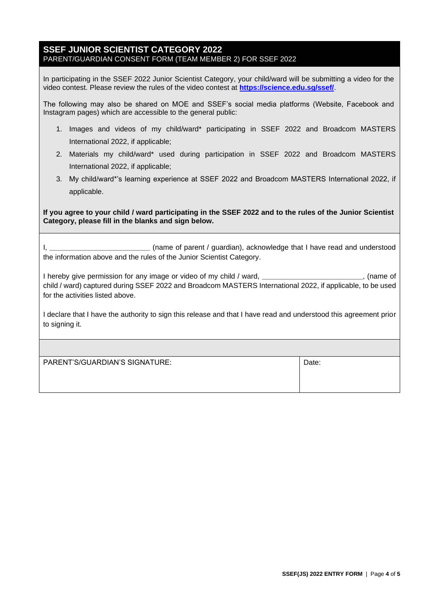## **SSEF JUNIOR SCIENTIST CATEGORY 2022** PARENT/GUARDIAN CONSENT FORM (TEAM MEMBER 2) FOR SSEF 2022

In participating in the SSEF 2022 Junior Scientist Category, your child/ward will be submitting a video for the video contest. Please review the rules of the video contest at **https://science.edu.sg/ssef/**.

The following may also be shared on MOE and SSEF's social media platforms (Website, Facebook and Instagram pages) which are accessible to the general public:

- 1. Images and videos of my child/ward\* participating in SSEF 2022 and Broadcom MASTERS International 2022, if applicable;
- 2. Materials my child/ward\* used during participation in SSEF 2022 and Broadcom MASTERS International 2022, if applicable;
- 3. My child/ward\*'s learning experience at SSEF 2022 and Broadcom MASTERS International 2022, if applicable.

**If you agree to your child / ward participating in the SSEF 2022 and to the rules of the Junior Scientist Category, please fill in the blanks and sign below.** 

I, **\_\_\_\_\_\_\_\_\_\_\_\_\_\_\_\_\_\_\_\_\_\_\_\_\_** (name of parent / guardian), acknowledge that I have read and understood the information above and the rules of the Junior Scientist Category.

I hereby give permission for any image or video of my child / ward, **\_\_\_\_\_\_\_\_\_\_\_\_\_\_\_\_\_\_\_\_\_\_\_\_\_**, (name of child / ward) captured during SSEF 2022 and Broadcom MASTERS International 2022, if applicable, to be used for the activities listed above.

I declare that I have the authority to sign this release and that I have read and understood this agreement prior to signing it.

| PARENT'S/GUARDIAN'S SIGNATURE: | Date: |
|--------------------------------|-------|
|                                |       |
|                                |       |